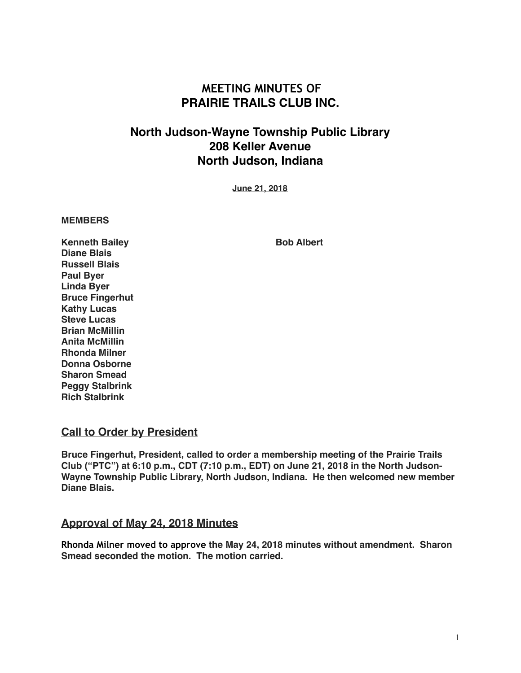# **MEETING MINUTES OF PRAIRIE TRAILS CLUB INC.**

# **North Judson-Wayne Township Public Library 208 Keller Avenue North Judson, Indiana**

**June 21, 2018**

#### **MEMBERS**

**Kenneth Bailey Community Bob Albert Diane Blais Russell Blais Paul Byer Linda Byer Bruce Fingerhut Kathy Lucas Steve Lucas Brian McMillin Anita McMillin Rhonda Milner Donna Osborne Sharon Smead Peggy Stalbrink Rich Stalbrink**

#### **Call to Order by President**

**Bruce Fingerhut, President, called to order a membership meeting of the Prairie Trails Club ("PTC") at 6:10 p.m., CDT (7:10 p.m., EDT) on June 21, 2018 in the North Judson-Wayne Township Public Library, North Judson, Indiana. He then welcomed new member Diane Blais.**

#### **Approval of May 24, 2018 Minutes**

**Rhonda Milner moved to approve the May 24, 2018 minutes without amendment. Sharon Smead seconded the motion. The motion carried.**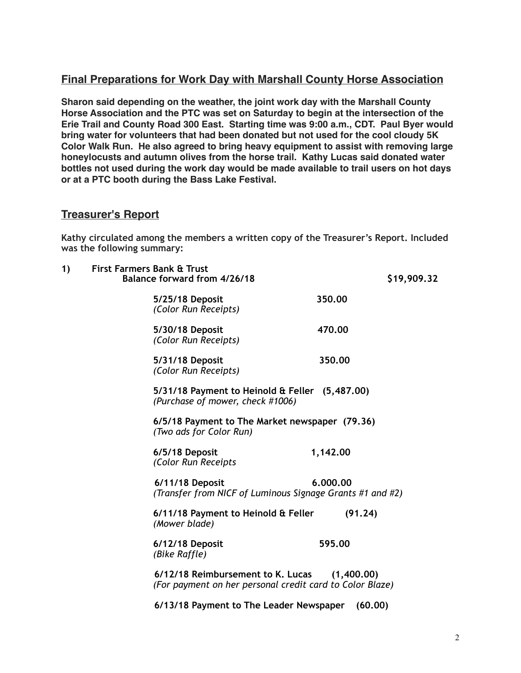## **Final Preparations for Work Day with Marshall County Horse Association**

**Sharon said depending on the weather, the joint work day with the Marshall County Horse Association and the PTC was set on Saturday to begin at the intersection of the Erie Trail and County Road 300 East. Starting time was 9:00 a.m., CDT. Paul Byer would bring water for volunteers that had been donated but not used for the cool cloudy 5K Color Walk Run. He also agreed to bring heavy equipment to assist with removing large honeylocusts and autumn olives from the horse trail. Kathy Lucas said donated water bottles not used during the work day would be made available to trail users on hot days or at a PTC booth during the Bass Lake Festival.**

### **Treasurer's Report**

**Kathy circulated among the members a written copy of the Treasurer's Report. Included was the following summary:** 

| 1) | <b>First Farmers Bank &amp; Trust</b><br>Balance forward from 4/26/18                         |            | \$19,909.32 |
|----|-----------------------------------------------------------------------------------------------|------------|-------------|
|    | 5/25/18 Deposit<br>(Color Run Receipts)                                                       | 350.00     |             |
|    | 5/30/18 Deposit<br>(Color Run Receipts)                                                       | 470.00     |             |
|    | 5/31/18 Deposit<br>(Color Run Receipts)                                                       | 350,00     |             |
|    | 5/31/18 Payment to Heinold & Feller (5,487.00)<br>(Purchase of mower, check #1006)            |            |             |
|    | 6/5/18 Payment to The Market newspaper (79.36)<br>(Two ads for Color Run)                     |            |             |
|    | 6/5/18 Deposit<br>(Color Run Receipts                                                         | 1,142.00   |             |
|    | 6/11/18 Deposit<br>(Transfer from NICF of Luminous Signage Grants #1 and #2)                  | 6.000.00   |             |
|    | 6/11/18 Payment to Heinold & Feller<br>(Mower blade)                                          | (91.24)    |             |
|    | 6/12/18 Deposit<br>(Bike Raffle)                                                              | 595.00     |             |
|    | 6/12/18 Reimbursement to K. Lucas<br>(For payment on her personal credit card to Color Blaze) | (1,400.00) |             |
|    | 6/13/18 Payment to The Leader Newspaper                                                       | (60.00)    |             |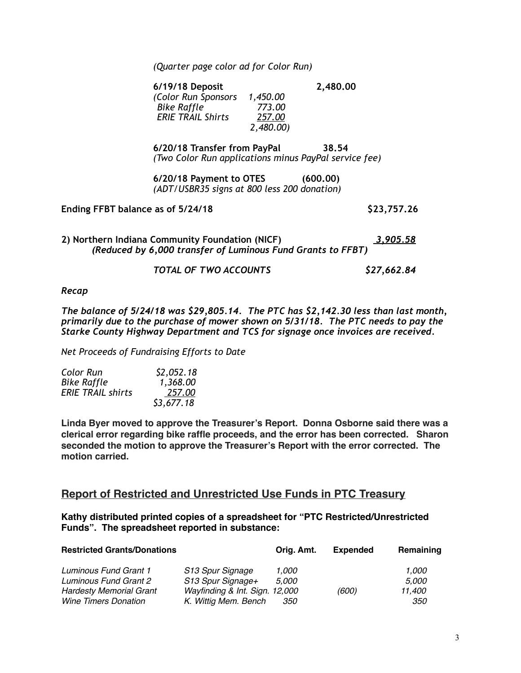*(Quarter page color ad for Color Run)* 

**6/19/18 Deposit 2,480.00**   *(Color Run Sponsors 1,450.00 Bike Raffle 773.00 ERIE TRAIL Shirts 2,480.00)* 

**6/20/18 Transfer from PayPal 38.54**  *(Two Color Run applications minus PayPal service fee)* 

**6/20/18 Payment to OTES (600.00)**  *(ADT/USBR35 signs at 800 less 200 donation)* 

**Ending FFBT balance as of 5/24/18 \$23,757.26** 

**2) Northern Indiana Community Foundation (NICF)** *3,905.58 (Reduced by 6,000 transfer of Luminous Fund Grants to FFBT)* 

#### *TOTAL OF TWO ACCOUNTS \$27,662.84*

#### *Recap*

*The balance of 5/24/18 was \$29,805.14. The PTC has \$2,142.30 less than last month, primarily due to the purchase of mower shown on 5/31/18. The PTC needs to pay the Starke County Highway Department and TCS for signage once invoices are received.* 

*Net Proceeds of Fundraising Efforts to Date* 

| Color Run                | \$2,052.18 |
|--------------------------|------------|
| <b>Bike Raffle</b>       | 1,368.00   |
| <b>ERIE TRAIL shirts</b> | 257.00     |
|                          | \$3,677.18 |

**Linda Byer moved to approve the Treasurer's Report. Donna Osborne said there was a clerical error regarding bike raffle proceeds, and the error has been corrected. Sharon seconded the motion to approve the Treasurer's Report with the error corrected. The motion carried.**

#### **Report of Restricted and Unrestricted Use Funds in PTC Treasury**

**Kathy distributed printed copies of a spreadsheet for "PTC Restricted/Unrestricted Funds". The spreadsheet reported in substance:**

| <b>Restricted Grants/Donations</b> | Orig. Amt.                     | <b>Expended</b> | Remaining |              |
|------------------------------------|--------------------------------|-----------------|-----------|--------------|
| <b>Luminous Fund Grant 1</b>       | S13 Spur Signage               | 1.000           |           | 1.000        |
| <b>Luminous Fund Grant 2</b>       | S13 Spur Signage+              | <i>5.000</i>    |           | <i>5.000</i> |
| <b>Hardesty Memorial Grant</b>     | Wayfinding & Int. Sign. 12,000 |                 | (600)     | 11.400       |
| <b>Wine Timers Donation</b>        | K. Wittig Mem. Bench           | <i>350</i>      |           | <i>350</i>   |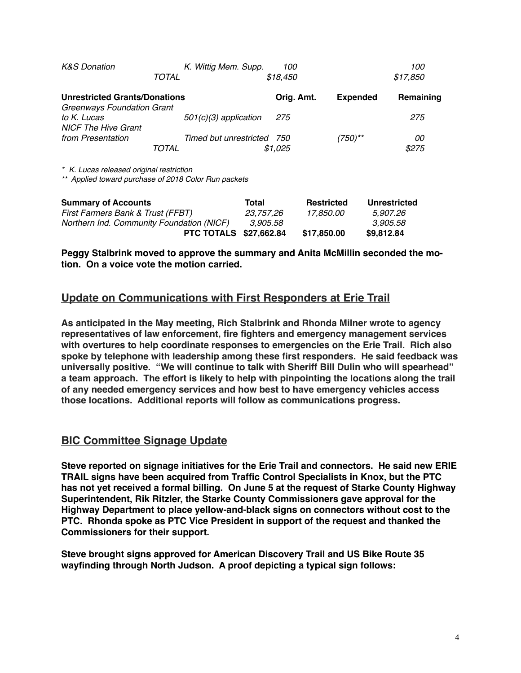| <b>K&amp;S Donation</b>                   |       | K. Wittig Mem. Supp.    | 100             |           | 100      |
|-------------------------------------------|-------|-------------------------|-----------------|-----------|----------|
|                                           | TOTAL |                         | \$18,450        |           | \$17,850 |
| <b>Unrestricted Grants/Donations</b>      |       | Orig. Amt.              | <b>Expended</b> | Remaining |          |
| Greenways Foundation Grant                |       |                         |                 |           |          |
| to K. Lucas<br><b>NICF The Hive Grant</b> |       | $501(c)(3)$ application | 275             |           | 275      |
| from Presentation                         |       | Timed but unrestricted  | 750             | (750)**   | 00       |
|                                           | TOTAL |                         | \$1.025         |           | \$275    |

*\* K. Lucas released original restriction*

*\*\* Applied toward purchase of 2018 Color Run packets*

| <b>Summary of Accounts</b>                | Total     | <b>Restricted</b> | Unrestricted |
|-------------------------------------------|-----------|-------------------|--------------|
| First Farmers Bank & Trust (FFBT)         | 23.757.26 | 17.850.00         | 5.907.26     |
| Northern Ind. Community Foundation (NICF) | 3.905.58  |                   | 3.905.58     |
| <b>PTC TOTALS \$27,662.84</b>             |           | \$17,850.00       | \$9,812.84   |

**Peggy Stalbrink moved to approve the summary and Anita McMillin seconded the motion. On a voice vote the motion carried.**

### **Update on Communications with First Responders at Erie Trail**

**As anticipated in the May meeting, Rich Stalbrink and Rhonda Milner wrote to agency representatives of law enforcement, fire fighters and emergency management services with overtures to help coordinate responses to emergencies on the Erie Trail. Rich also spoke by telephone with leadership among these first responders. He said feedback was universally positive. "We will continue to talk with Sheriff Bill Dulin who will spearhead" a team approach. The effort is likely to help with pinpointing the locations along the trail of any needed emergency services and how best to have emergency vehicles access those locations. Additional reports will follow as communications progress.**

#### **BIC Committee Signage Update**

**Steve reported on signage initiatives for the Erie Trail and connectors. He said new ERIE TRAIL signs have been acquired from Traffic Control Specialists in Knox, but the PTC has not yet received a formal billing. On June 5 at the request of Starke County Highway Superintendent, Rik Ritzler, the Starke County Commissioners gave approval for the Highway Department to place yellow-and-black signs on connectors without cost to the PTC. Rhonda spoke as PTC Vice President in support of the request and thanked the Commissioners for their support.** 

**Steve brought signs approved for American Discovery Trail and US Bike Route 35 wayfinding through North Judson. A proof depicting a typical sign follows:**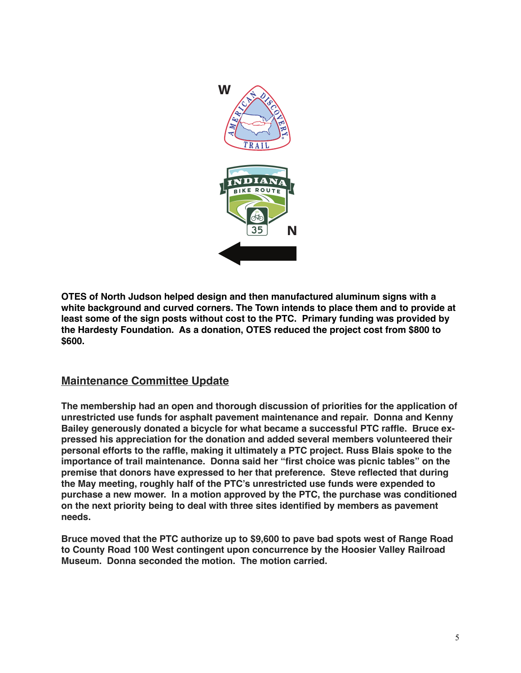

**OTES of North Judson helped design and then manufactured aluminum signs with a white background and curved corners. The Town intends to place them and to provide at least some of the sign posts without cost to the PTC. Primary funding was provided by the Hardesty Foundation. As a donation, OTES reduced the project cost from \$800 to \$600.**

### **Maintenance Committee Update**

**The membership had an open and thorough discussion of priorities for the application of unrestricted use funds for asphalt pavement maintenance and repair. Donna and Kenny Bailey generously donated a bicycle for what became a successful PTC raffle. Bruce expressed his appreciation for the donation and added several members volunteered their personal efforts to the raffle, making it ultimately a PTC project. Russ Blais spoke to the importance of trail maintenance. Donna said her "first choice was picnic tables" on the premise that donors have expressed to her that preference. Steve reflected that during the May meeting, roughly half of the PTC's unrestricted use funds were expended to purchase a new mower. In a motion approved by the PTC, the purchase was conditioned on the next priority being to deal with three sites identified by members as pavement needs.**

**Bruce moved that the PTC authorize up to \$9,600 to pave bad spots west of Range Road to County Road 100 West contingent upon concurrence by the Hoosier Valley Railroad Museum. Donna seconded the motion. The motion carried.**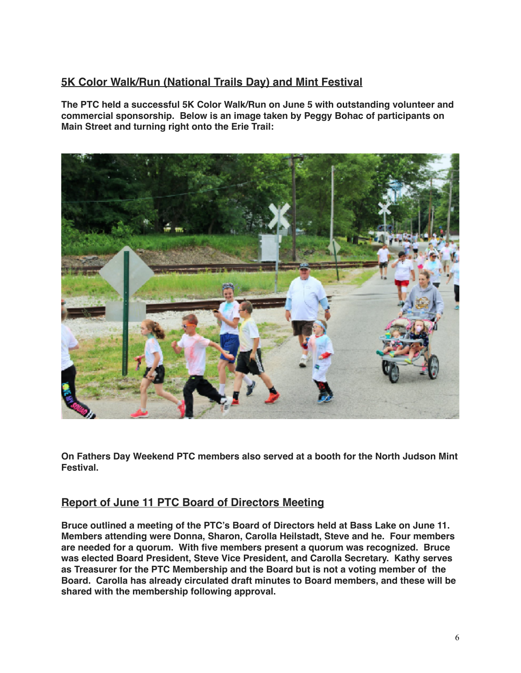## **5K Color Walk/Run (National Trails Day) and Mint Festival**

**The PTC held a successful 5K Color Walk/Run on June 5 with outstanding volunteer and commercial sponsorship. Below is an image taken by Peggy Bohac of participants on Main Street and turning right onto the Erie Trail:**



**On Fathers Day Weekend PTC members also served at a booth for the North Judson Mint Festival.**

### **Report of June 11 PTC Board of Directors Meeting**

**Bruce outlined a meeting of the PTC's Board of Directors held at Bass Lake on June 11. Members attending were Donna, Sharon, Carolla Heilstadt, Steve and he. Four members are needed for a quorum. With five members present a quorum was recognized. Bruce was elected Board President, Steve Vice President, and Carolla Secretary. Kathy serves as Treasurer for the PTC Membership and the Board but is not a voting member of the Board. Carolla has already circulated draft minutes to Board members, and these will be shared with the membership following approval.**